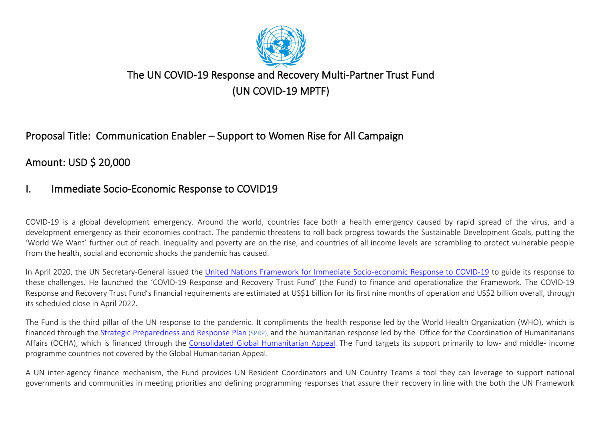

# The UN COVID-19 Response and Recovery Multi-Partner Trust Fund (UN COVID-19 MPTF)

## Proposal Title: Communication Enabler – Support to Women Rise for All Campaign

Amount: USD \$ 20,000

## I. Immediate Socio-Economic Response to COVID19

COVID-19 is a global development emergency. Around the world, countries face both a health emergency caused by rapid spread of the virus, and a development emergency as their economies contract. The pandemic threatens to roll back progress towards the Sustainable Development Goals, putting the 'World We Want' further out of reach. Inequality and poverty are on the rise, and countries of all income levels are scrambling to protect vulnerable people from the health, social and economic shocks the pandemic has caused.

In April 2020, the UN Secretary-General issued the United Nations [Framework for Immediate Socio-economic Response to COVID-19](http://mptf.undp.org/document/download/23903) to guide its response to these challenges. He launched the 'COVID-19 Response and Recovery Trust Fund' (the Fund) to finance and operationalize the Framework. The COVID-19 Response and Recovery Trust Fund's financial requirements are estimated at US\$1 billion for its first nine months of operation and US\$2 billion overall, through its scheduled close in April 2022.

The Fund is the third pillar of the UN response to the pandemic. It compliments the health response led by the World Health Organization (WHO), which is financed through the [Strategic Preparedness and Response Plan](https://www.who.int/publications-detail/strategic-preparedness-and-response-plan-for-the-new-coronavirus) (SPRP), and the humanitarian response led by the Office for the Coordination of Humanitarians Affairs (OCHA), which is financed through the [Consolidated Global Humanitarian Appeal](https://www.unocha.org/story/un-issues-2-billion-appeal-combat-covid-19). The Fund targets its support primarily to low- and middle- income programme countries not covered by the Global Humanitarian Appeal.

A UN inter-agency finance mechanism, the Fund provides UN Resident Coordinators and UN Country Teams a tool they can leverage to support national governments and communities in meeting priorities and defining programming responses that assure their recovery in line with the both the UN Framework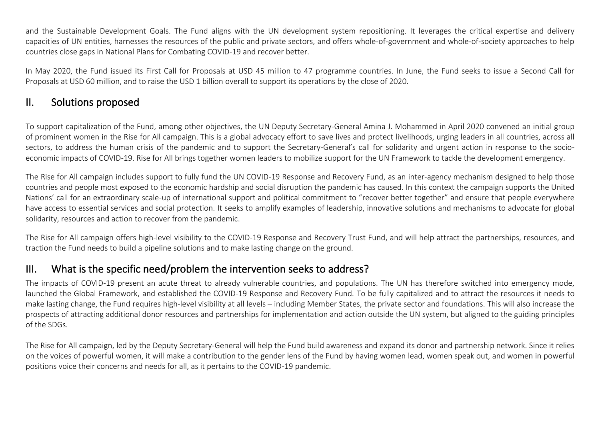and the Sustainable Development Goals. The Fund aligns with the UN development system repositioning. It leverages the critical expertise and delivery capacities of UN entities, harnesses the resources of the public and private sectors, and offers whole-of-government and whole-of-society approaches to help countries close gaps in National Plans for Combating COVID-19 and recover better.

In May 2020, the Fund issued its First Call for Proposals at USD 45 million to 47 programme countries. In June, the Fund seeks to issue a Second Call for Proposals at USD 60 million, and to raise the USD 1 billion overall to support its operations by the close of 2020.

### II. Solutions proposed

To support capitalization of the Fund, among other objectives, the UN Deputy Secretary-General Amina J. Mohammed in April 2020 convened an initial group of prominent women in the Rise for All campaign. This is a global advocacy effort to save lives and protect livelihoods, urging leaders in all countries, across all sectors, to address the human crisis of the pandemic and to support the Secretary-General's call for solidarity and urgent action in response to the socioeconomic impacts of COVID-19. Rise for All brings together women leaders to mobilize support for the UN Framework to tackle the development emergency.

The Rise for All campaign includes support to fully fund the UN COVID-19 Response and Recovery Fund, as an inter-agency mechanism designed to help those countries and people most exposed to the economic hardship and social disruption the pandemic has caused. In this context the campaign supports the United Nations' call for an extraordinary scale-up of international support and political commitment to "recover better together" and ensure that people everywhere have access to essential services and social protection. It seeks to amplify examples of leadership, innovative solutions and mechanisms to advocate for global solidarity, resources and action to recover from the pandemic.

The Rise for All campaign offers high-level visibility to the COVID-19 Response and Recovery Trust Fund, and will help attract the partnerships, resources, and traction the Fund needs to build a pipeline solutions and to make lasting change on the ground.

## III. What is the specific need/problem the intervention seeks to address?

The impacts of COVID-19 present an acute threat to already vulnerable countries, and populations. The UN has therefore switched into emergency mode, launched the Global Framework, and established the COVID-19 Response and Recovery Fund. To be fully capitalized and to attract the resources it needs to make lasting change, the Fund requires high-level visibility at all levels – including Member States, the private sector and foundations. This will also increase the prospects of attracting additional donor resources and partnerships for implementation and action outside the UN system, but aligned to the guiding principles of the SDGs.

The Rise for All campaign, led by the Deputy Secretary-General will help the Fund build awareness and expand its donor and partnership network. Since it relies on the voices of powerful women, it will make a contribution to the gender lens of the Fund by having women lead, women speak out, and women in powerful positions voice their concerns and needs for all, as it pertains to the COVID-19 pandemic.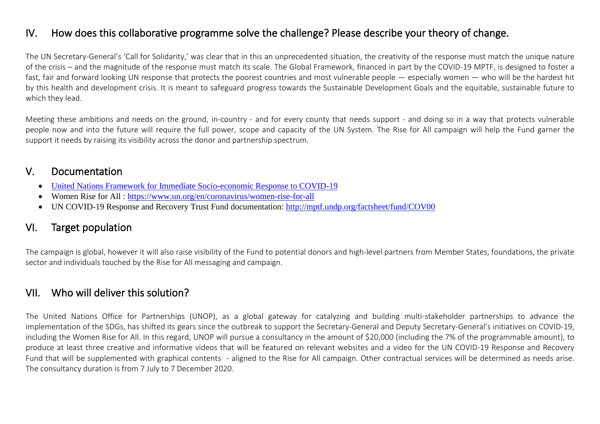## IV. How does this collaborative programme solve the challenge? Please describe your theory of change.

The UN Secretary-General's 'Call for Solidarity,' was clear that in this an unprecedented situation, the creativity of the response must match the unique nature of the crisis – and the magnitude of the response must match its scale. The Global Framework, financed in part by the COVID-19 MPTF, is designed to foster a fast, fair and forward looking UN response that protects the poorest countries and most vulnerable people — especially women — who will be the hardest hit by this health and development crisis. It is meant to safeguard progress towards the Sustainable Development Goals and the equitable, sustainable future to which they lead.

Meeting these ambitions and needs on the ground, in-country - and for every county that needs support - and doing so in a way that protects vulnerable people now and into the future will require the full power, scope and capacity of the UN System. The Rise for All campaign will help the Fund garner the support it needs by raising its visibility across the donor and partnership spectrum.

### V. Documentation

- United Nations [Framework for Immediate Socio-economic Response to COVID-19](http://mptf.undp.org/document/download/23903)
- Women Rise for All :<https://www.un.org/en/coronavirus/women-rise-for-all>
- UN COVID-19 Response and Recovery Trust Fund documentation:<http://mptf.undp.org/factsheet/fund/COV00>

## VI. Target population

The campaign is global, however it will also raise visibility of the Fund to potential donors and high-level partners from Member States, foundations, the private sector and individuals touched by the Rise for All messaging and campaign.

### VII. Who will deliver this solution?

The United Nations Office for Partnerships (UNOP), as a global gateway for catalyzing and building multi-stakeholder partnerships to advance the implementation of the SDGs, has shifted its gears since the outbreak to support the Secretary-General and Deputy Secretary-General's initiatives on COVID-19, including the Women Rise for All. In this regard, UNOP will pursue a consultancy in the amount of \$20,000 (including the 7% of the programmable amount), to produce at least three creative and informative videos that will be featured on relevant websites and a video for the UN COVID-19 Response and Recovery Fund that will be supplemented with graphical contents - aligned to the Rise for All campaign. Other contractual services will be determined as needs arise. The consultancy duration is from 7 July to 7 December 2020.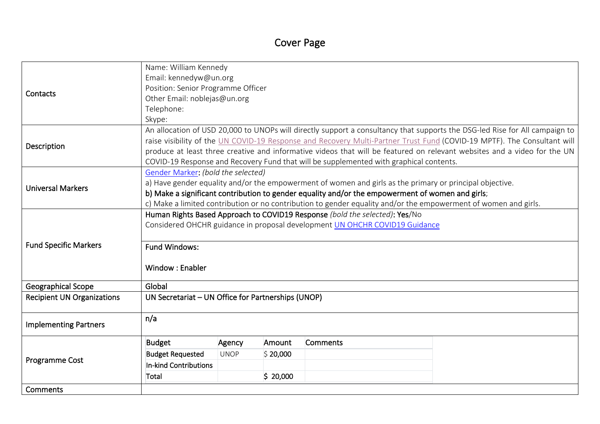# Cover Page

|                                   | Name: William Kennedy                                                                                                       |             |          |                                                                                                                 |                                                                                                                          |  |  |  |
|-----------------------------------|-----------------------------------------------------------------------------------------------------------------------------|-------------|----------|-----------------------------------------------------------------------------------------------------------------|--------------------------------------------------------------------------------------------------------------------------|--|--|--|
| Contacts                          | Email: kennedyw@un.org                                                                                                      |             |          |                                                                                                                 |                                                                                                                          |  |  |  |
|                                   | Position: Senior Programme Officer                                                                                          |             |          |                                                                                                                 |                                                                                                                          |  |  |  |
|                                   | Other Email: noblejas@un.org                                                                                                |             |          |                                                                                                                 |                                                                                                                          |  |  |  |
|                                   | Telephone:                                                                                                                  |             |          |                                                                                                                 |                                                                                                                          |  |  |  |
|                                   | Skype:                                                                                                                      |             |          |                                                                                                                 |                                                                                                                          |  |  |  |
|                                   | An allocation of USD 20,000 to UNOPs will directly support a consultancy that supports the DSG-led Rise for All campaign to |             |          |                                                                                                                 |                                                                                                                          |  |  |  |
| Description                       | raise visibility of the UN COVID-19 Response and Recovery Multi-Partner Trust Fund (COVID-19 MPTF). The Consultant will     |             |          |                                                                                                                 |                                                                                                                          |  |  |  |
|                                   |                                                                                                                             |             |          |                                                                                                                 | produce at least three creative and informative videos that will be featured on relevant websites and a video for the UN |  |  |  |
|                                   |                                                                                                                             |             |          | COVID-19 Response and Recovery Fund that will be supplemented with graphical contents.                          |                                                                                                                          |  |  |  |
|                                   | Gender Marker: (bold the selected)                                                                                          |             |          |                                                                                                                 |                                                                                                                          |  |  |  |
| <b>Universal Markers</b>          |                                                                                                                             |             |          | a) Have gender equality and/or the empowerment of women and girls as the primary or principal objective.        |                                                                                                                          |  |  |  |
|                                   | b) Make a significant contribution to gender equality and/or the empowerment of women and girls;                            |             |          |                                                                                                                 |                                                                                                                          |  |  |  |
|                                   |                                                                                                                             |             |          | c) Make a limited contribution or no contribution to gender equality and/or the empowerment of women and girls. |                                                                                                                          |  |  |  |
|                                   | Human Rights Based Approach to COVID19 Response (bold the selected): Yes/No                                                 |             |          |                                                                                                                 |                                                                                                                          |  |  |  |
|                                   | Considered OHCHR guidance in proposal development UN OHCHR COVID19 Guidance                                                 |             |          |                                                                                                                 |                                                                                                                          |  |  |  |
|                                   |                                                                                                                             |             |          |                                                                                                                 |                                                                                                                          |  |  |  |
| <b>Fund Specific Markers</b>      | <b>Fund Windows:</b>                                                                                                        |             |          |                                                                                                                 |                                                                                                                          |  |  |  |
|                                   |                                                                                                                             |             |          |                                                                                                                 |                                                                                                                          |  |  |  |
|                                   | Window: Enabler                                                                                                             |             |          |                                                                                                                 |                                                                                                                          |  |  |  |
| <b>Geographical Scope</b>         | Global                                                                                                                      |             |          |                                                                                                                 |                                                                                                                          |  |  |  |
| <b>Recipient UN Organizations</b> | UN Secretariat - UN Office for Partnerships (UNOP)                                                                          |             |          |                                                                                                                 |                                                                                                                          |  |  |  |
|                                   |                                                                                                                             |             |          |                                                                                                                 |                                                                                                                          |  |  |  |
|                                   | n/a                                                                                                                         |             |          |                                                                                                                 |                                                                                                                          |  |  |  |
| <b>Implementing Partners</b>      |                                                                                                                             |             |          |                                                                                                                 |                                                                                                                          |  |  |  |
|                                   | <b>Budget</b>                                                                                                               | Agency      | Amount   | <b>Comments</b>                                                                                                 |                                                                                                                          |  |  |  |
| Programme Cost                    | <b>Budget Requested</b>                                                                                                     | <b>UNOP</b> | \$20,000 |                                                                                                                 |                                                                                                                          |  |  |  |
|                                   | <b>In-kind Contributions</b>                                                                                                |             |          |                                                                                                                 |                                                                                                                          |  |  |  |
|                                   | Total                                                                                                                       |             | \$20,000 |                                                                                                                 |                                                                                                                          |  |  |  |
| Comments                          |                                                                                                                             |             |          |                                                                                                                 |                                                                                                                          |  |  |  |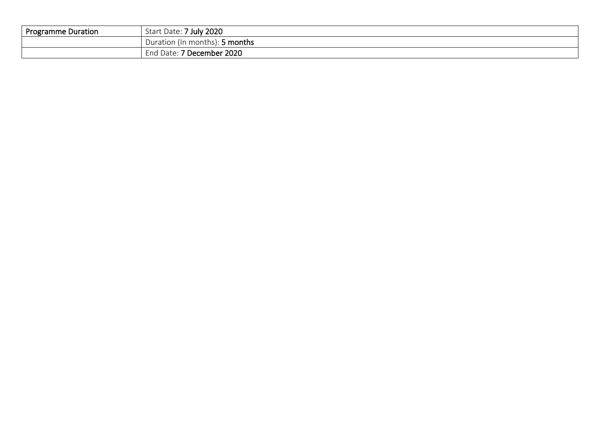| <b>Programme Duration</b> | 7 July 2020<br>Start Date:                 |
|---------------------------|--------------------------------------------|
|                           | າ (In months): <b>5 months</b><br>Duration |
|                           | 7 December 2020<br>u Date: I<br>End        |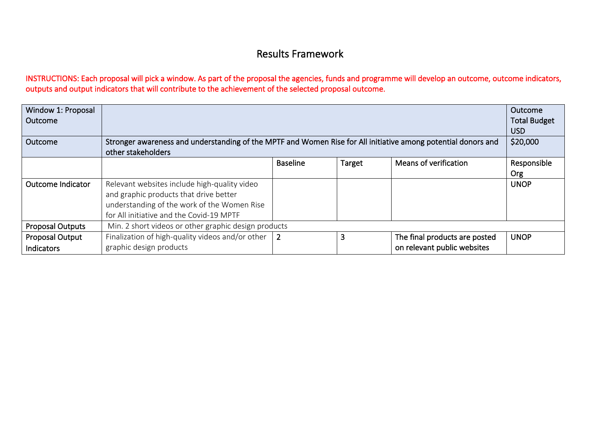## Results Framework

INSTRUCTIONS: Each proposal will pick a window. As part of the proposal the agencies, funds and programme will develop an outcome, outcome indicators, outputs and output indicators that will contribute to the achievement of the selected proposal outcome.

| Window 1: Proposal<br>Outcome        |                                                                                                                                                                                   |                 |        |                                                              | Outcome<br><b>Total Budget</b><br><b>USD</b><br>\$20,000 |  |  |
|--------------------------------------|-----------------------------------------------------------------------------------------------------------------------------------------------------------------------------------|-----------------|--------|--------------------------------------------------------------|----------------------------------------------------------|--|--|
| Outcome                              | Stronger awareness and understanding of the MPTF and Women Rise for All initiative among potential donors and<br>other stakeholders                                               |                 |        |                                                              |                                                          |  |  |
|                                      |                                                                                                                                                                                   | <b>Baseline</b> | Target | Means of verification                                        | Responsible<br><b>Org</b>                                |  |  |
| <b>Outcome Indicator</b>             | Relevant websites include high-quality video<br>and graphic products that drive better<br>understanding of the work of the Women Rise<br>for All initiative and the Covid-19 MPTF |                 |        |                                                              | <b>UNOP</b>                                              |  |  |
| <b>Proposal Outputs</b>              | Min. 2 short videos or other graphic design products                                                                                                                              |                 |        |                                                              |                                                          |  |  |
| Proposal Output<br><b>Indicators</b> | Finalization of high-quality videos and/or other<br>graphic design products                                                                                                       | $\overline{2}$  | 3      | The final products are posted<br>on relevant public websites | <b>UNOP</b>                                              |  |  |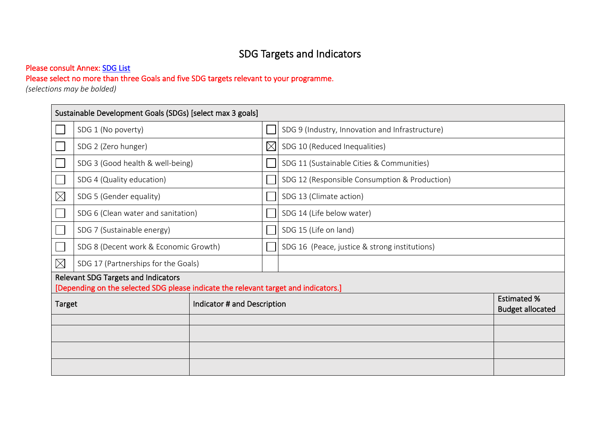# SDG Targets and Indicators

#### Please consult Annex: SDG List

### Please select no more than three Goals and five SDG targets relevant to your programme.

*(selections may be bolded)* 

| Sustainable Development Goals (SDGs) [select max 3 goals] |                                                                                                                                   |  |             |                                                 |  |  |  |  |
|-----------------------------------------------------------|-----------------------------------------------------------------------------------------------------------------------------------|--|-------------|-------------------------------------------------|--|--|--|--|
|                                                           | SDG 1 (No poverty)                                                                                                                |  |             | SDG 9 (Industry, Innovation and Infrastructure) |  |  |  |  |
|                                                           | SDG 2 (Zero hunger)                                                                                                               |  | $\boxtimes$ | SDG 10 (Reduced Inequalities)                   |  |  |  |  |
|                                                           | SDG 3 (Good health & well-being)                                                                                                  |  |             | SDG 11 (Sustainable Cities & Communities)       |  |  |  |  |
|                                                           | SDG 4 (Quality education)                                                                                                         |  |             | SDG 12 (Responsible Consumption & Production)   |  |  |  |  |
| $\boxtimes$                                               | SDG 5 (Gender equality)                                                                                                           |  |             | SDG 13 (Climate action)                         |  |  |  |  |
|                                                           | SDG 6 (Clean water and sanitation)                                                                                                |  |             | SDG 14 (Life below water)                       |  |  |  |  |
|                                                           | SDG 7 (Sustainable energy)                                                                                                        |  |             | SDG 15 (Life on land)                           |  |  |  |  |
|                                                           | SDG 8 (Decent work & Economic Growth)                                                                                             |  |             | SDG 16 (Peace, justice & strong institutions)   |  |  |  |  |
| $\boxtimes$                                               | SDG 17 (Partnerships for the Goals)                                                                                               |  |             |                                                 |  |  |  |  |
|                                                           | <b>Relevant SDG Targets and Indicators</b><br>[Depending on the selected SDG please indicate the relevant target and indicators.] |  |             |                                                 |  |  |  |  |
| Indicator # and Description<br><b>Target</b>              |                                                                                                                                   |  |             | <b>Estimated %</b><br><b>Budget allocated</b>   |  |  |  |  |
|                                                           |                                                                                                                                   |  |             |                                                 |  |  |  |  |
|                                                           |                                                                                                                                   |  |             |                                                 |  |  |  |  |
|                                                           |                                                                                                                                   |  |             |                                                 |  |  |  |  |
|                                                           |                                                                                                                                   |  |             |                                                 |  |  |  |  |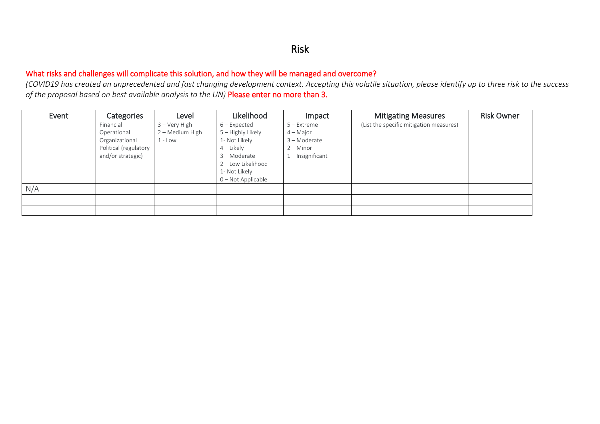#### Risk

#### What risks and challenges will complicate this solution, and how they will be managed and overcome?

*(COVID19 has created an unprecedented and fast changing development context. Accepting this volatile situation, please identify up to three risk to the success of the proposal based on best available analysis to the UN)* Please enter no more than 3.

| Event | Categories                                 | Level                                         | Likelihood                                                                                | Impact                                   | <b>Mitigating Measures</b>              | <b>Risk Owner</b> |
|-------|--------------------------------------------|-----------------------------------------------|-------------------------------------------------------------------------------------------|------------------------------------------|-----------------------------------------|-------------------|
|       | Financial<br>Operational<br>Organizational | 3 – Very High<br>2 – Medium High<br>$1 -$ Low | 6 – Expected<br>5 – Highly Likely<br>1- Not Likely                                        | 5 – Extreme<br>4 – Major<br>3 - Moderate | (List the specific mitigation measures) |                   |
|       | Political (regulatory<br>and/or strategic) |                                               | $4$ – Likely<br>3 - Moderate<br>2 - Low Likelihood<br>1- Not Likely<br>0 – Not Applicable | $2 -$ Minor<br>1 – Insignificant         |                                         |                   |
| N/A   |                                            |                                               |                                                                                           |                                          |                                         |                   |
|       |                                            |                                               |                                                                                           |                                          |                                         |                   |
|       |                                            |                                               |                                                                                           |                                          |                                         |                   |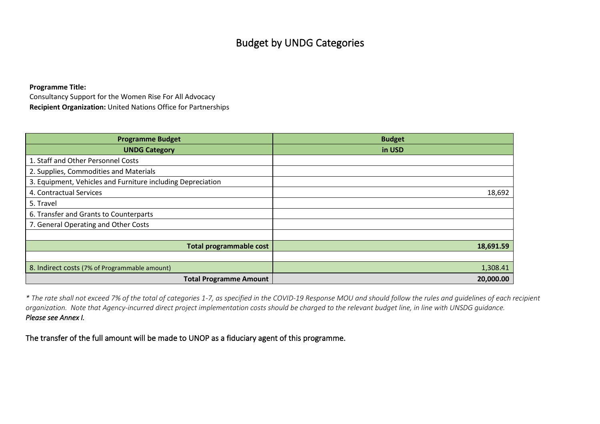## Budget by UNDG Categories

**Programme Title:** 

Consultancy Support for the Women Rise For All Advocacy **Recipient Organization:** United Nations Office for Partnerships

| <b>Programme Budget</b>                                     | <b>Budget</b> |
|-------------------------------------------------------------|---------------|
| <b>UNDG Category</b>                                        | in USD        |
| 1. Staff and Other Personnel Costs                          |               |
| 2. Supplies, Commodities and Materials                      |               |
| 3. Equipment, Vehicles and Furniture including Depreciation |               |
| 4. Contractual Services                                     | 18,692        |
| 5. Travel                                                   |               |
| 6. Transfer and Grants to Counterparts                      |               |
| 7. General Operating and Other Costs                        |               |
|                                                             |               |
| <b>Total programmable cost</b>                              | 18,691.59     |
|                                                             |               |
| 8. Indirect costs (7% of Programmable amount)               | 1,308.41      |
| <b>Total Programme Amount</b>                               | 20,000.00     |

*\* The rate shall not exceed 7% of the total of categories 1-7, as specified in the COVID-19 Response MOU and should follow the rules and guidelines of each recipient organization. Note that Agency-incurred direct project implementation costs should be charged to the relevant budget line, in line with UNSDG guidance. Please see Annex I.* 

The transfer of the full amount will be made to UNOP as a fiduciary agent of this programme.